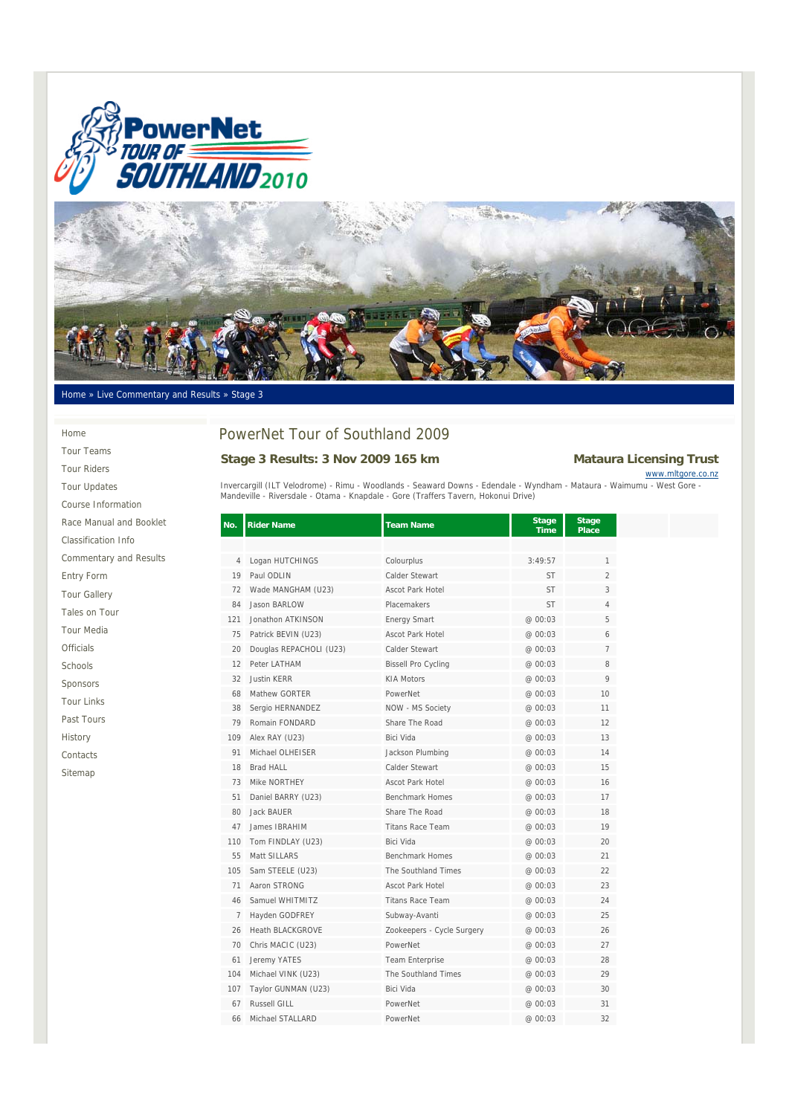



#### Home » Live Commentary and Results » Stage 3

Home

Tour Teams Tour Riders Tour Updates Course Information Race Manual and Booklet Classification Info Commentary and Results Entry Form Tour Gallery Tales on Tour Tour Media Officials Schools Sponsors Tour Links Past Tours History Contacts Sitemap

# PowerNet Tour of Southland 2009

## Stage 3 Results: 3 Nov 2009 165 km<br>
Mataura Licensing Trust

www.mltgore.co.nz

Invercargill (ILT Velodrome) - Rimu - Woodlands - Seaward Downs - Edendale - Wyndham - Mataura - Waimumu - West Gore -<br>Mandeville - Riversdale - Otama - Knapdale - Gore (Traffers Tavern, Hokonui Drive)

| No.            | <b>Rider Name</b>       | <b>Team Name</b>           | <b>Stage</b><br><b>Time</b> | <b>Stage</b><br>Place |  |
|----------------|-------------------------|----------------------------|-----------------------------|-----------------------|--|
|                |                         |                            |                             |                       |  |
| 4              | Logan HUTCHINGS         | Colourplus                 | 3:49:57                     | 1                     |  |
| 19             | Paul ODLIN              | Calder Stewart             | <b>ST</b>                   | $\overline{2}$        |  |
| 72             | Wade MANGHAM (U23)      | <b>Ascot Park Hotel</b>    | <b>ST</b>                   | 3                     |  |
| 84             | Jason BARLOW            | Placemakers                | <b>ST</b>                   | $\overline{4}$        |  |
| 121            | Jonathon ATKINSON       | <b>Energy Smart</b>        | @ 00:03                     | 5                     |  |
| 75             | Patrick BEVIN (U23)     | <b>Ascot Park Hotel</b>    | @ 00:03                     | 6                     |  |
| 20             | Douglas REPACHOLI (U23) | Calder Stewart             | @ 00:03                     | $\overline{7}$        |  |
| 12             | Peter LATHAM            | <b>Bissell Pro Cycling</b> | @ 00:03                     | 8                     |  |
| 32             | <b>Justin KERR</b>      | <b>KIA Motors</b>          | @ 00:03                     | 9                     |  |
| 68             | Mathew GORTER           | PowerNet                   | @ 00:03                     | 10                    |  |
| 38             | Sergio HERNANDEZ        | NOW - MS Society           | @ 00:03                     | 11                    |  |
| 79             | Romain FONDARD          | Share The Road             | @00:03                      | 12                    |  |
| 109            | Alex RAY (U23)          | Bici Vida                  | @ 00:03                     | 13                    |  |
| 91             | Michael OLHEISER        | Jackson Plumbing           | @00:03                      | 14                    |  |
| 18             | <b>Brad HALL</b>        | Calder Stewart             | @ 00:03                     | 15                    |  |
| 73             | Mike NORTHEY            | Ascot Park Hotel           | @ 00:03                     | 16                    |  |
| 51             | Daniel BARRY (U23)      | <b>Benchmark Homes</b>     | @ 00:03                     | 17                    |  |
| 80             | Jack BAUER              | Share The Road             | @ 00:03                     | 18                    |  |
| 47             | James IBRAHIM           | <b>Titans Race Team</b>    | @ 00:03                     | 19                    |  |
| 110            | Tom FINDLAY (U23)       | Bici Vida                  | @ 00:03                     | 20                    |  |
| 55             | Matt SILLARS            | <b>Benchmark Homes</b>     | @ 00:03                     | 21                    |  |
| 105            | Sam STEELE (U23)        | The Southland Times        | @ 00:03                     | 22                    |  |
| 71             | Aaron STRONG            | Ascot Park Hotel           | @00:03                      | 23                    |  |
| 46             | Samuel WHITMITZ         | <b>Titans Race Team</b>    | @ 00:03                     | 24                    |  |
| $\overline{7}$ | Hayden GODFREY          | Subway-Avanti              | @ 00:03                     | 25                    |  |
| 26             | <b>Heath BLACKGROVE</b> | Zookeepers - Cycle Surgery | @ 00:03                     | 26                    |  |
| 70             | Chris MACIC (U23)       | PowerNet                   | @ 00:03                     | 27                    |  |
| 61             | Jeremy YATES            | Team Enterprise            | @ 00:03                     | 28                    |  |
| 104            | Michael VINK (U23)      | The Southland Times        | @ 00:03                     | 29                    |  |
| 107            | Taylor GUNMAN (U23)     | Bici Vida                  | @ 00:03                     | 30                    |  |
| 67             | <b>Russell GILL</b>     | PowerNet                   | @ 00:03                     | 31                    |  |
| 66             | Michael STALLARD        | PowerNet                   | @ 00:03                     | 32                    |  |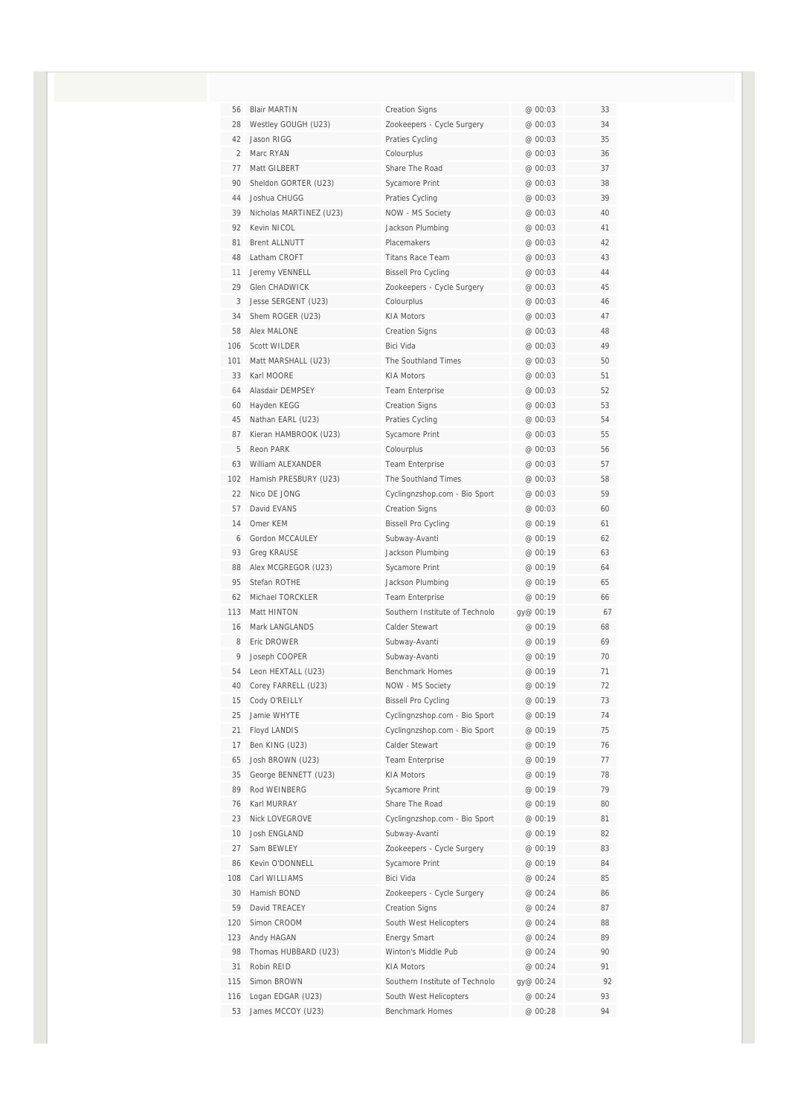| 56             | <b>Blair MARTIN</b>     | <b>Creation Signs</b>          | @ 00:03   | 33 |
|----------------|-------------------------|--------------------------------|-----------|----|
| 28             | Westley GOUGH (U23)     | Zookeepers - Cycle Surgery     | @ 00:03   | 34 |
| 42             | Jason RIGG              | Praties Cycling                | @ 00:03   | 35 |
| $\overline{2}$ | Marc RYAN               | Colourplus                     | @ 00:03   | 36 |
| 77             | Matt GILBERT            | Share The Road                 | @ 00:03   | 37 |
| 90             | Sheldon GORTER (U23)    | Sycamore Print                 | @ 00:03   | 38 |
| 44             | Joshua CHUGG            | Praties Cycling                | @ 00:03   | 39 |
| 39             | Nicholas MARTINEZ (U23) | NOW - MS Society               | @ 00:03   | 40 |
| 92             | Kevin NICOL             | Jackson Plumbing               | @ 00:03   | 41 |
| 81             | <b>Brent ALLNUTT</b>    | Placemakers                    | @ 00:03   | 42 |
| 48             | Latham CROFT            | <b>Titans Race Team</b>        | @ 00:03   | 43 |
| 11             | Jeremy VENNELL          | <b>Bissell Pro Cycling</b>     | @ 00:03   | 44 |
| 29             | Glen CHADWICK           | Zookeepers - Cycle Surgery     | @ 00:03   | 45 |
| 3              | Jesse SERGENT (U23)     | Colourplus                     | @ 00:03   | 46 |
| 34             | Shem ROGER (U23)        | <b>KIA Motors</b>              | @ 00:03   | 47 |
| 58             | Alex MALONE             | <b>Creation Signs</b>          | @ 00:03   | 48 |
| 106            | Scott WILDER            | Bici Vida                      | @ 00:03   | 49 |
| 101            | Matt MARSHALL (U23)     | The Southland Times            | @ 00:03   | 50 |
| 33             | Karl MOORE              | <b>KIA Motors</b>              | @ 00:03   | 51 |
| 64             | Alasdair DEMPSEY        | <b>Team Enterprise</b>         | @ 00:03   | 52 |
| 60             | Hayden KEGG             | <b>Creation Signs</b>          | @ 00:03   | 53 |
| 45             | Nathan EARL (U23)       | Praties Cycling                | @ 00:03   | 54 |
| 87             | Kieran HAMBROOK (U23)   | Sycamore Print                 | @ 00:03   | 55 |
| 5              | Reon PARK               | Colourplus                     | @ 00:03   | 56 |
| 63             | William ALEXANDER       | <b>Team Enterprise</b>         | @ 00:03   | 57 |
| 102            | Hamish PRESBURY (U23)   | The Southland Times            | @ 00:03   | 58 |
| 22             | Nico DE JONG            | Cyclingnzshop.com - Bio Sport  | @ 00:03   | 59 |
| 57             | David EVANS             | <b>Creation Signs</b>          | @ 00:03   | 60 |
| 14             | Omer KEM                | <b>Bissell Pro Cycling</b>     | @ 00:19   | 61 |
| 6              | Gordon MCCAULEY         | Subway-Avanti                  | @ 00:19   | 62 |
| 93             | <b>Greg KRAUSE</b>      | Jackson Plumbing               | @ 00:19   | 63 |
| 88             | Alex MCGREGOR (U23)     | Sycamore Print                 | @ 00:19   | 64 |
| 95             | Stefan ROTHE            | Jackson Plumbing               | @ 00:19   | 65 |
| 62             | Michael TORCKLER        | <b>Team Enterprise</b>         | @ 00:19   | 66 |
| 113            | Matt HINTON             | Southern Institute of Technolo | gy@ 00:19 | 67 |
| 16             | Mark LANGLANDS          | Calder Stewart                 | @ 00:19   | 68 |
| 8              | Fric DROWFR             | Subway-Avanti                  | @ 00:19   | 69 |
| 9              | Joseph COOPER           | Subway-Avanti                  | @ 00:19   | 70 |
| 54             | Leon HEXTALL (U23)      | <b>Benchmark Homes</b>         | @ 00:19   | 71 |
| 40             | Corey FARRELL (U23)     | NOW - MS Society               | @ 00:19   | 72 |
| 15             | Cody O'REILLY           | <b>Bissell Pro Cycling</b>     | @ 00:19   | 73 |
| 25             | Jamie WHYTE             | Cyclingnzshop.com - Bio Sport  | @ 00:19   | 74 |
| 21             | Floyd LANDIS            | Cyclingnzshop.com - Bio Sport  | @ 00:19   | 75 |
| 17             | Ben KING (U23)          | Calder Stewart                 | @ 00:19   | 76 |
| 65             | Josh BROWN (U23)        | <b>Team Enterprise</b>         | @ 00:19   | 77 |
| 35             | George BENNETT (U23)    | <b>KIA Motors</b>              | @ 00:19   | 78 |
| 89             | Rod WEINBERG            | Sycamore Print                 | @ 00:19   | 79 |
| 76             | Karl MURRAY             | Share The Road                 | @ 00:19   | 80 |
| 23             | Nick LOVEGROVE          | Cyclingnzshop.com - Bio Sport  | @ 00:19   | 81 |
| 10             | Josh ENGLAND            | Subway-Avanti                  | @ 00:19   | 82 |
| 27             | Sam BEWLEY              | Zookeepers - Cycle Surgery     | @ 00:19   | 83 |
| 86             | Kevin O'DONNELL         | Sycamore Print                 | @ 00:19   | 84 |
| 108            | Carl WILLIAMS           | Bici Vida                      | @ 00:24   | 85 |
| 30             | Hamish BOND             | Zookeepers - Cycle Surgery     | @ 00:24   | 86 |
| 59             | David TREACEY           | <b>Creation Signs</b>          | @ 00:24   | 87 |
| 120            | Simon CROOM             | South West Helicopters         | @ 00:24   | 88 |
| 123            | Andy HAGAN              | <b>Energy Smart</b>            | @ 00:24   | 89 |
| 98             | Thomas HUBBARD (U23)    | Winton's Middle Pub            | @ 00:24   | 90 |
| 31             | Robin REID              | <b>KIA Motors</b>              | @ 00:24   | 91 |
| 115            | Simon BROWN             | Southern Institute of Technolo | gy@ 00:24 | 92 |
| 116            | Logan EDGAR (U23)       | South West Helicopters         | @ 00:24   | 93 |
| 53             | James MCCOY (U23)       | Benchmark Homes                | @ 00:28   | 94 |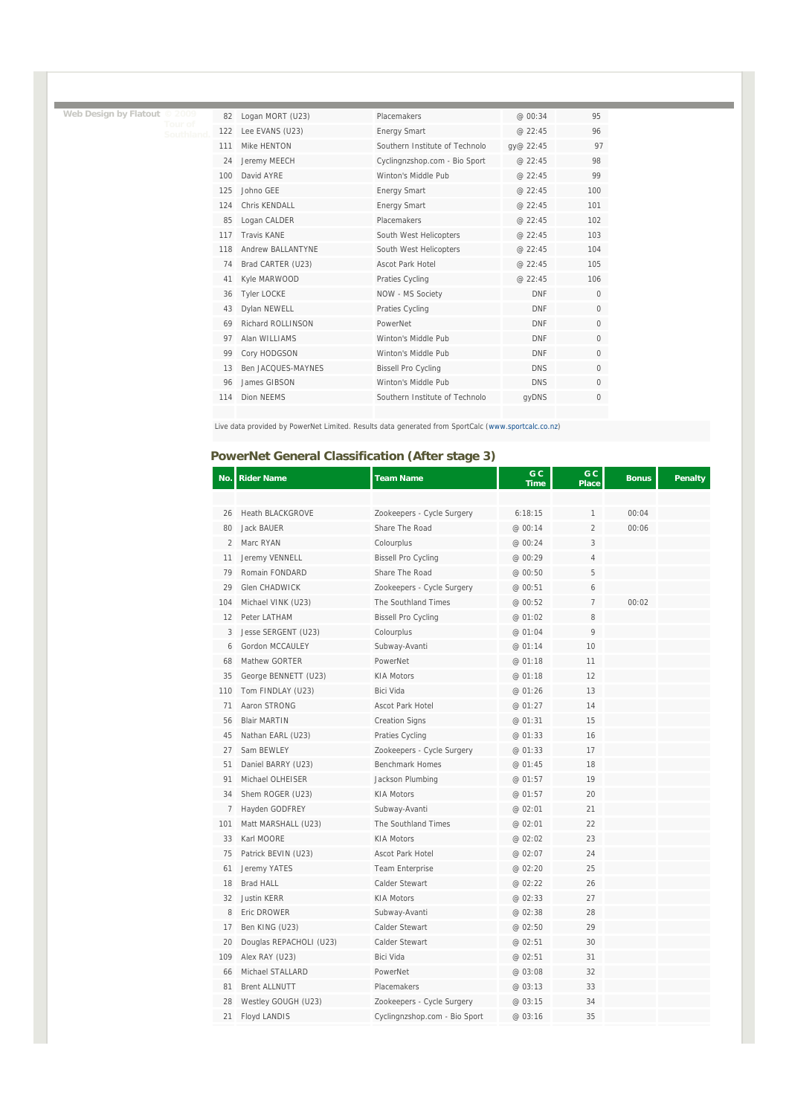|  | Web Design by Flatout © 2009 |  |
|--|------------------------------|--|
|  |                              |  |

T.

Ē

| 82  | Logan MORT (U23)   | Placemakers                    | @ 00:34    | 95           |
|-----|--------------------|--------------------------------|------------|--------------|
| 122 | Lee EVANS (U23)    | <b>Energy Smart</b>            | @ 22:45    | 96           |
| 111 | Mike HFNTON        | Southern Institute of Technolo | qy@ 22:45  | 97           |
| 24  | Jeremy MEECH       | Cyclingnzshop.com - Bio Sport  | @ 22:45    | 98           |
| 100 | David AYRF         | Winton's Middle Pub            | @ 22:45    | 99           |
| 125 | Johno GEE          | <b>Energy Smart</b>            | @ 22:45    | 100          |
| 124 | Chris KFNDALL      | <b>Energy Smart</b>            | @ 22:45    | 101          |
| 85  | Logan CALDER       | Placemakers                    | @ 22:45    | 102          |
| 117 | <b>Travis KANF</b> | South West Helicopters         | @ 22:45    | 103          |
| 118 | Andrew BALLANTYNF  | South West Helicopters         | @ 22:45    | 104          |
| 74  | Brad CARTER (U23)  | Ascot Park Hotel               | @ 22:45    | 105          |
| 41  | Kyle MARWOOD       | Praties Cycling                | @ 22:45    | 106          |
| 36  | <b>Tyler LOCKE</b> | NOW - MS Society               | <b>DNF</b> | $\mathbf 0$  |
| 43  | Dylan NEWELL       | Praties Cycling                | <b>DNF</b> | $\mathbf 0$  |
| 69  | Richard ROLLINSON  | PowerNet                       | <b>DNF</b> | $\mathbf{0}$ |
| 97  | Alan WILLIAMS      | Winton's Middle Pub            | <b>DNF</b> | $\mathbf 0$  |
| 99  | Cory HODGSON       | Winton's Middle Pub            | <b>DNF</b> | $\mathbf{0}$ |
| 13  | Ben JACQUES-MAYNES | <b>Bissell Pro Cycling</b>     | <b>DNS</b> | $\Omega$     |
| 96  | James GIBSON       | Winton's Middle Pub            | <b>DNS</b> | $\Omega$     |
| 114 | Dion NFFMS         | Southern Institute of Technolo | qyDNS      | $\Omega$     |

Live data provided by PowerNet Limited. Results data generated from SportCalc (www.sportcalc.co.nz)

### **PowerNet General Classification (After stage 3)**

| No.            | <b>Rider Name</b>       | <b>Team Name</b>              | G C<br><b>Time</b> | G C<br><b>Place</b> | <b>Bonus</b> | <b>Penalty</b> |
|----------------|-------------------------|-------------------------------|--------------------|---------------------|--------------|----------------|
|                |                         |                               |                    |                     |              |                |
| 26             | <b>Heath BLACKGROVE</b> | Zookeepers - Cycle Surgery    | 6:18:15            | 1                   | 00:04        |                |
| 80             | Jack BAUER              | Share The Road                | @ 00:14            | $\overline{2}$      | 00:06        |                |
| $\overline{2}$ | Marc RYAN               | Colourplus                    | @ 00:24            | 3                   |              |                |
| 11             | Jeremy VENNELL          | <b>Bissell Pro Cycling</b>    | @ 00:29            | 4                   |              |                |
| 79             | Romain FONDARD          | Share The Road                | @ 00:50            | 5                   |              |                |
| 29             | Glen CHADWICK           | Zookeepers - Cycle Surgery    | @ 00:51            | 6                   |              |                |
| 104            | Michael VINK (U23)      | The Southland Times           | @00:52             | $\overline{7}$      | 00:02        |                |
| 12             | Peter LATHAM            | <b>Bissell Pro Cycling</b>    | @ 01:02            | 8                   |              |                |
| 3              | Jesse SERGENT (U23)     | Colourplus                    | @ 01:04            | 9                   |              |                |
| 6              | Gordon MCCAULEY         | Subway-Avanti                 | @ 01:14            | 10                  |              |                |
| 68             | Mathew GORTER           | PowerNet                      | @ 01:18            | 11                  |              |                |
| 35             | George BENNETT (U23)    | <b>KIA Motors</b>             | @ 01:18            | 12                  |              |                |
| 110            | Tom FINDLAY (U23)       | <b>Bici Vida</b>              | @ 01:26            | 13                  |              |                |
| 71             | Aaron STRONG            | <b>Ascot Park Hotel</b>       | @ 01:27            | 14                  |              |                |
| 56             | <b>Blair MARTIN</b>     | <b>Creation Signs</b>         | @ 01:31            | 15                  |              |                |
| 45             | Nathan EARL (U23)       | Praties Cycling               | @ 01:33            | 16                  |              |                |
| 27             | Sam BFWLFY              | Zookeepers - Cycle Surgery    | @ 01:33            | 17                  |              |                |
| 51             | Daniel BARRY (U23)      | <b>Benchmark Homes</b>        | @ 01:45            | 18                  |              |                |
| 91             | Michael OLHEISER        | Jackson Plumbing              | @ 01:57            | 19                  |              |                |
| 34             | Shem ROGER (U23)        | <b>KIA Motors</b>             | @ 01:57            | 20                  |              |                |
| 7              | Hayden GODFREY          | Subway-Avanti                 | @ 02:01            | 21                  |              |                |
| 101            | Matt MARSHALL (U23)     | The Southland Times           | @ 02:01            | 22                  |              |                |
| 33             | Karl MOORE              | <b>KIA Motors</b>             | @ 02:02            | 23                  |              |                |
| 75             | Patrick BEVIN (U23)     | <b>Ascot Park Hotel</b>       | @ 02:07            | 24                  |              |                |
| 61             | Jeremy YATES            | Team Enterprise               | @ 02:20            | 25                  |              |                |
| 18             | <b>Brad HALL</b>        | Calder Stewart                | @ 02:22            | 26                  |              |                |
| 32             | <b>Justin KERR</b>      | <b>KIA Motors</b>             | @ 02:33            | 27                  |              |                |
| 8              | Eric DROWER             | Subway-Avanti                 | @ 02:38            | 28                  |              |                |
| 17             | Ben KING (U23)          | Calder Stewart                | @ 02:50            | 29                  |              |                |
| 20             | Douglas REPACHOLI (U23) | Calder Stewart                | @ 02:51            | 30                  |              |                |
| 109            | Alex RAY (U23)          | Bici Vida                     | @ 02:51            | 31                  |              |                |
| 66             | Michael STALLARD        | PowerNet                      | @ 03:08            | 32                  |              |                |
| 81             | <b>Brent ALLNUTT</b>    | Placemakers                   | @ 03:13            | 33                  |              |                |
| 28             | Westley GOUGH (U23)     | Zookeepers - Cycle Surgery    | @ 03:15            | 34                  |              |                |
| 21             | <b>Floyd LANDIS</b>     | Cyclingnzshop.com - Bio Sport | @ 03:16            | 35                  |              |                |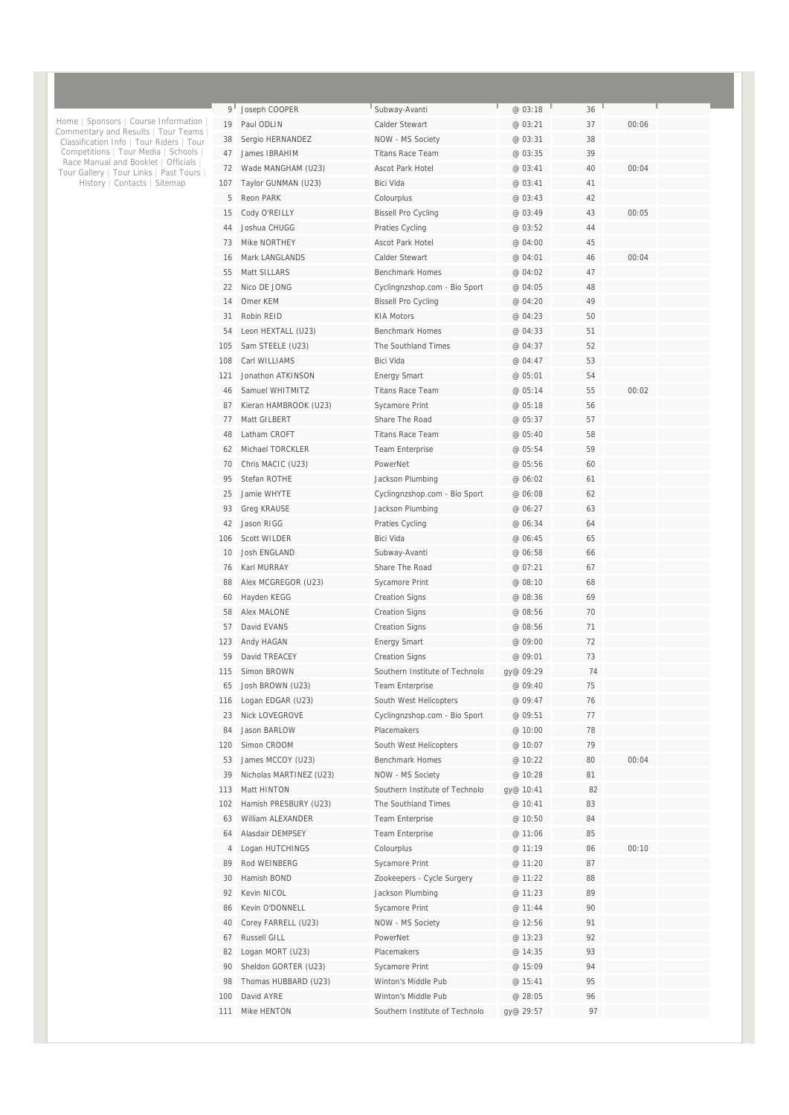| 9 <sup>1</sup> | Joseph COOPER           | Subway-Avanti                  | @ 03:18   | 36 |       |  |
|----------------|-------------------------|--------------------------------|-----------|----|-------|--|
| 19             | Paul ODLIN              | Calder Stewart                 | @ 03:21   | 37 | 00:06 |  |
| 38             | Sergio HERNANDEZ        | NOW - MS Society               | @ 03:31   | 38 |       |  |
| 47             | James IBRAHIM           | <b>Titans Race Team</b>        | @ 03:35   | 39 |       |  |
| 72             | Wade MANGHAM (U23)      | <b>Ascot Park Hotel</b>        | @ 03:41   | 40 | 00:04 |  |
| 107            | Taylor GUNMAN (U23)     | Bici Vida                      | @ 03:41   | 41 |       |  |
| 5              | Reon PARK               | Colourplus                     | @ 03:43   | 42 |       |  |
| 15             | Cody O'REILLY           | <b>Bissell Pro Cycling</b>     | @ 03:49   | 43 | 00:05 |  |
| 44             | Joshua CHUGG            | Praties Cycling                | @ 03:52   | 44 |       |  |
| 73             | Mike NORTHEY            | <b>Ascot Park Hotel</b>        | @ 04:00   | 45 |       |  |
| 16             | Mark LANGLANDS          | <b>Calder Stewart</b>          | @ 04:01   | 46 | 00:04 |  |
| 55             | Matt SILLARS            | <b>Benchmark Homes</b>         | @ 04:02   | 47 |       |  |
| 22             | Nico DE JONG            | Cyclingnzshop.com - Bio Sport  | @ 04:05   | 48 |       |  |
| 14             | Omer KEM                | <b>Bissell Pro Cycling</b>     | @ 04:20   | 49 |       |  |
| 31             | Robin REID              | <b>KIA Motors</b>              | @ 04:23   | 50 |       |  |
| 54             | Leon HEXTALL (U23)      | <b>Benchmark Homes</b>         | @ 04:33   | 51 |       |  |
| 105            | Sam STEELE (U23)        | The Southland Times            | @ 04:37   | 52 |       |  |
| 108            | Carl WILLIAMS           | <b>Bici Vida</b>               | @ 04:47   | 53 |       |  |
| 121            | Jonathon ATKINSON       | <b>Energy Smart</b>            | @ 05:01   | 54 |       |  |
| 46             | Samuel WHITMITZ         | <b>Titans Race Team</b>        | @ 05:14   | 55 | 00:02 |  |
| 87             | Kieran HAMBROOK (U23)   | Sycamore Print                 | @ 05:18   | 56 |       |  |
| 77             | Matt GILBERT            | Share The Road                 | @ 05:37   | 57 |       |  |
| 48             | Latham CROFT            | <b>Titans Race Team</b>        | @ 05:40   | 58 |       |  |
| 62             | Michael TORCKLER        | Team Enterprise                | @ 05:54   | 59 |       |  |
| 70             | Chris MACIC (U23)       | PowerNet                       | @ 05:56   | 60 |       |  |
| 95             | Stefan ROTHE            | Jackson Plumbing               | @ 06:02   | 61 |       |  |
| 25             | Jamie WHYTE             | Cyclingnzshop.com - Bio Sport  | @ 06:08   | 62 |       |  |
| 93             | <b>Greg KRAUSE</b>      | Jackson Plumbing               | @ 06:27   | 63 |       |  |
| 42             | Jason RIGG              | Praties Cycling                | @ 06:34   | 64 |       |  |
| 106            | <b>Scott WILDER</b>     | Bici Vida                      | @ 06:45   | 65 |       |  |
| 10             | Josh ENGLAND            | Subway-Avanti                  | @ 06:58   | 66 |       |  |
| 76             | Karl MURRAY             | Share The Road                 | @ 07:21   | 67 |       |  |
| 88             | Alex MCGREGOR (U23)     | Sycamore Print                 | @ 08:10   | 68 |       |  |
| 60             | Hayden KEGG             | <b>Creation Signs</b>          | @ 08:36   | 69 |       |  |
| 58             | <b>Alex MALONE</b>      | <b>Creation Signs</b>          | @ 08:56   | 70 |       |  |
| 57             | David EVANS             | <b>Creation Signs</b>          | @ 08:56   | 71 |       |  |
| 123            | Andy HAGAN              | <b>Energy Smart</b>            | @ 09:00   | 72 |       |  |
| 59             | David TREACEY           | <b>Creation Signs</b>          | @ 09:01   | 73 |       |  |
| 115            | Simon BROWN             | Southern Institute of Technolo | gy@ 09:29 | 74 |       |  |
| 65             | Josh BROWN (U23)        | Team Enterprise                | @ 09:40   | 75 |       |  |
| 116            | Logan EDGAR (U23)       | South West Helicopters         | @ 09:47   | 76 |       |  |
| 23             | Nick LOVEGROVE          | Cyclingnzshop.com - Bio Sport  | @ 09:51   | 77 |       |  |
| 84             | Jason BARLOW            | Placemakers                    | @ 10:00   | 78 |       |  |
| 120            | Simon CROOM             | South West Helicopters         | @ 10:07   | 79 |       |  |
| 53             | James MCCOY (U23)       | <b>Benchmark Homes</b>         | @ 10:22   | 80 | 00:04 |  |
| 39             | Nicholas MARTINEZ (U23) | NOW - MS Society               | @ 10:28   | 81 |       |  |
| 113            | Matt HINTON             | Southern Institute of Technolo | gy@ 10:41 | 82 |       |  |
| 102            | Hamish PRESBURY (U23)   | The Southland Times            | @ 10:41   | 83 |       |  |
| 63             | William ALEXANDER       | <b>Team Enterprise</b>         | @ 10:50   | 84 |       |  |
| 64             | Alasdair DEMPSEY        | Team Enterprise                | @ 11:06   | 85 |       |  |
| 4              | Logan HUTCHINGS         | Colourplus                     | @ 11:19   | 86 | 00:10 |  |
| 89             | Rod WEINBERG            | Sycamore Print                 | @ 11:20   | 87 |       |  |
| 30             | Hamish BOND             | Zookeepers - Cycle Surgery     | @ 11:22   | 88 |       |  |
| 92             | Kevin NICOL             | Jackson Plumbing               | @ 11:23   | 89 |       |  |
| 86             | Kevin O'DONNELL         | Sycamore Print                 | @ 11:44   | 90 |       |  |
| 40             | Corey FARRELL (U23)     | NOW - MS Society               | @ 12:56   | 91 |       |  |
| 67             | Russell GILL            | PowerNet                       | @ 13:23   | 92 |       |  |
| 82             | Logan MORT (U23)        | Placemakers                    | @ 14:35   | 93 |       |  |
| 90             | Sheldon GORTER (U23)    | Sycamore Print                 | @ 15:09   | 94 |       |  |
| 98             | Thomas HUBBARD (U23)    | Winton's Middle Pub            | @ 15:41   | 95 |       |  |
| 100            | David AYRE              | Winton's Middle Pub            | @ 28:05   | 96 |       |  |
| 111            | Mike HENTON             | Southern Institute of Technolo | gy@ 29:57 | 97 |       |  |
|                |                         |                                |           |    |       |  |

Home | Sponsors | Course Information |<br>Commentary and Results | Tour Teams |<br>Classification Info | Tour Riders | Tour<br>Competitions | Tour Media | Schools |<br>Race Manual and Booklet | Officials |<br>Tour Gallery | Tour Links |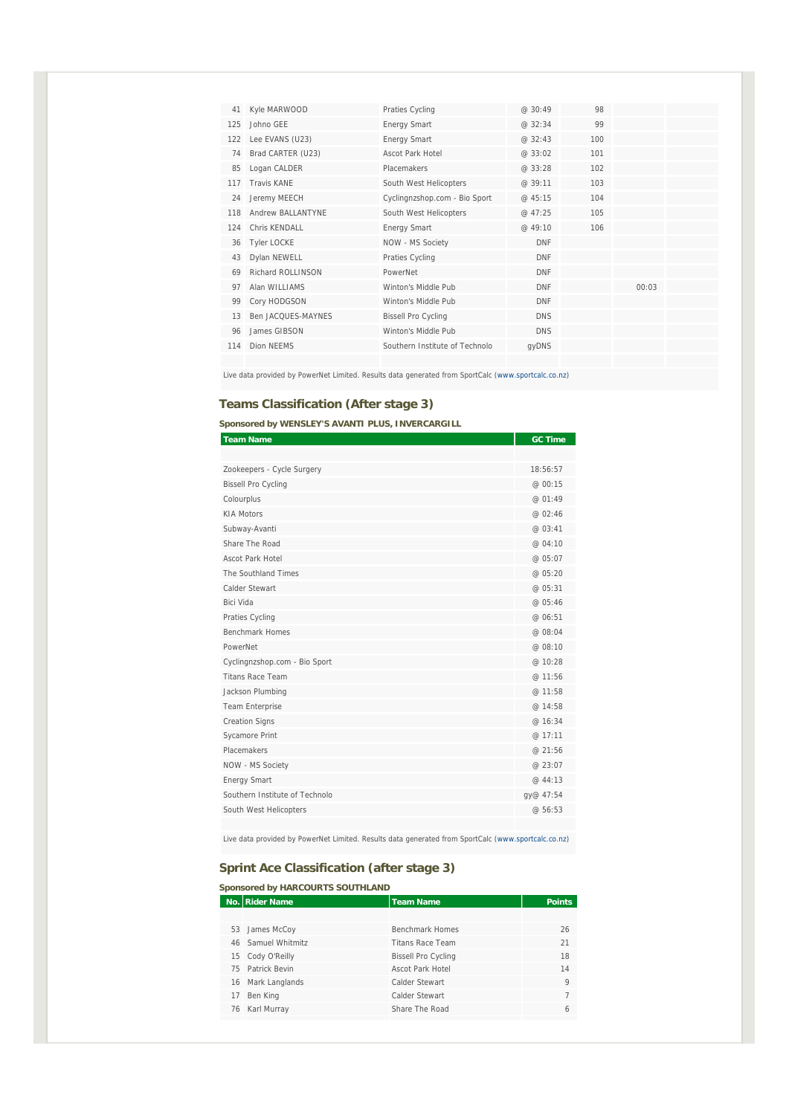| 41  | Kyle MARWOOD       | Praties Cycling                | @30:49     | 98  |       |  |
|-----|--------------------|--------------------------------|------------|-----|-------|--|
| 125 | Johno GFF          | Energy Smart                   | @32:34     | 99  |       |  |
| 122 | Lee EVANS (U23)    | Energy Smart                   | @32:43     | 100 |       |  |
| 74  | Brad CARTER (U23)  | Ascot Park Hotel               | @33:02     | 101 |       |  |
| 85  | Logan CALDER       | Placemakers                    | @33:28     | 102 |       |  |
| 117 | <b>Travis KANF</b> | South West Helicopters         | @ 39:11    | 103 |       |  |
| 24  | Jeremy MEECH       | Cyclingnzshop.com - Bio Sport  | @45:15     | 104 |       |  |
| 118 | Andrew BALLANTYNE  | South West Helicopters         | @ 47:25    | 105 |       |  |
| 124 | Chris KFNDALL      | Energy Smart                   | @ 49:10    | 106 |       |  |
| 36  | <b>Tyler LOCKE</b> | NOW - MS Society               | <b>DNF</b> |     |       |  |
| 43  | Dylan NEWELL       | Praties Cycling                | <b>DNF</b> |     |       |  |
| 69  | Richard ROLLINSON  | PowerNet                       | <b>DNF</b> |     |       |  |
| 97  | Alan WILLIAMS      | Winton's Middle Pub            | <b>DNF</b> |     | 00:03 |  |
| 99  | Cory HODGSON       | Winton's Middle Pub            | <b>DNF</b> |     |       |  |
| 13  | Ben JACOUFS-MAYNES | <b>Bissell Pro Cycling</b>     | <b>DNS</b> |     |       |  |
| 96  | James GIBSON       | Winton's Middle Pub            | <b>DNS</b> |     |       |  |
| 114 | Dion NFFMS         | Southern Institute of Technolo | gyDNS      |     |       |  |
|     |                    |                                |            |     |       |  |

Live data provided by PowerNet Limited. Results data generated from SportCalc (www.sportcalc.co.nz)

#### **Teams Classification (After stage 3)**

**Sponsored by WENSLEY'S AVANTI PLUS, INVERCARGILL** 

| <b>Team Name</b>               | <b>GC Time</b> |
|--------------------------------|----------------|
|                                |                |
| Zookeepers - Cycle Surgery     | 18:56:57       |
| <b>Bissell Pro Cycling</b>     | @ 00:15        |
| Colourplus                     | @ 01:49        |
| <b>KIA Motors</b>              | @ 02:46        |
| Subway-Avanti                  | @ 03:41        |
| Share The Road                 | @ 04:10        |
| Ascot Park Hotel               | @ 05:07        |
| The Southland Times            | @ 05:20        |
| Calder Stewart                 | @ 05:31        |
| Bici Vida                      | @ 05:46        |
| Praties Cycling                | @ 06:51        |
| Benchmark Homes                | @ 08:04        |
| PowerNet                       | @ 08:10        |
| Cyclingnzshop.com - Bio Sport  | @ 10:28        |
| <b>Titans Race Team</b>        | @ 11:56        |
| Jackson Plumbing               | @ 11:58        |
| <b>Team Enterprise</b>         | @ 14:58        |
| <b>Creation Signs</b>          | @ 16:34        |
| Sycamore Print                 | @ 17:11        |
| Placemakers                    | @ 21:56        |
| NOW - MS Society               | @23:07         |
| <b>Energy Smart</b>            | @ 44:13        |
| Southern Institute of Technolo | gy@ 47:54      |
| South West Helicopters         | @56:53         |
|                                |                |

Live data provided by PowerNet Limited. Results data generated from SportCalc (www.sportcalc.co.nz)

#### **Sprint Ace Classification (after stage 3)**

|    | Sponsored by HARCOURTS SOUTHLAND |                            |               |  |  |
|----|----------------------------------|----------------------------|---------------|--|--|
|    | No. Rider Name                   | <b>Team Name</b>           | <b>Points</b> |  |  |
|    |                                  |                            |               |  |  |
|    | 53 James McCoy                   | <b>Benchmark Homes</b>     | 26            |  |  |
|    | 46 Samuel Whitmitz               | <b>Titans Race Team</b>    | 21            |  |  |
|    | 15 Cody O'Reilly                 | <b>Bissell Pro Cycling</b> | 18            |  |  |
|    | 75 Patrick Bevin                 | <b>Ascot Park Hotel</b>    | 14            |  |  |
|    | 16 Mark Langlands                | Calder Stewart             | $\mathsf{Q}$  |  |  |
| 17 | Ben King                         | Calder Stewart             |               |  |  |
|    | 76 Karl Murray                   | Share The Road             | 6             |  |  |
|    |                                  |                            |               |  |  |